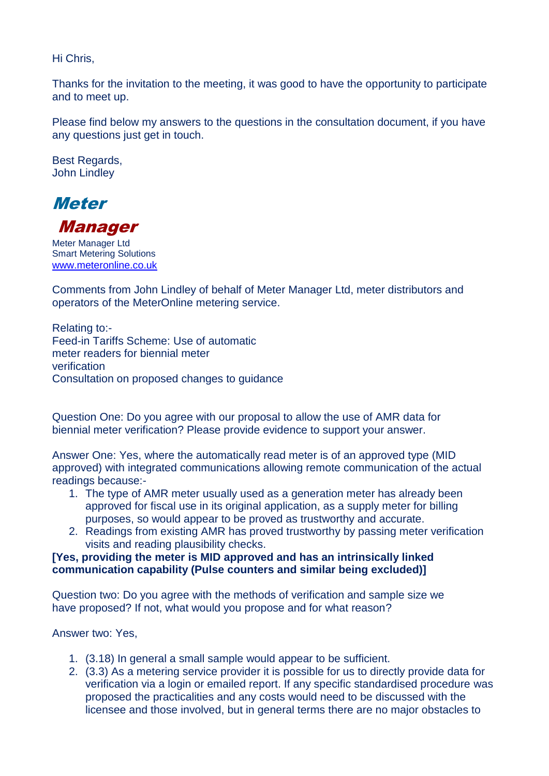Hi Chris,

Thanks for the invitation to the meeting, it was good to have the opportunity to participate and to meet up.

Please find below my answers to the questions in the consultation document, if you have any questions just get in touch.

Best Regards, John Lindley



Manager

Meter Manager Ltd Smart Metering Solutions [www.meteronline.co.uk](http://www.meteronline.co.uk/)

Comments from John Lindley of behalf of Meter Manager Ltd, meter distributors and operators of the MeterOnline metering service.

Relating to:- Feed-in Tariffs Scheme: Use of automatic meter readers for biennial meter verification Consultation on proposed changes to guidance

Question One: Do you agree with our proposal to allow the use of AMR data for biennial meter verification? Please provide evidence to support your answer.

Answer One: Yes, where the automatically read meter is of an approved type (MID approved) with integrated communications allowing remote communication of the actual readings because:-

- 1. The type of AMR meter usually used as a generation meter has already been approved for fiscal use in its original application, as a supply meter for billing purposes, so would appear to be proved as trustworthy and accurate.
- 2. Readings from existing AMR has proved trustworthy by passing meter verification visits and reading plausibility checks.

## **[Yes, providing the meter is MID approved and has an intrinsically linked communication capability (Pulse counters and similar being excluded)]**

Question two: Do you agree with the methods of verification and sample size we have proposed? If not, what would you propose and for what reason?

Answer two: Yes,

- 1. (3.18) In general a small sample would appear to be sufficient.
- 2. (3.3) As a metering service provider it is possible for us to directly provide data for verification via a login or emailed report. If any specific standardised procedure was proposed the practicalities and any costs would need to be discussed with the licensee and those involved, but in general terms there are no major obstacles to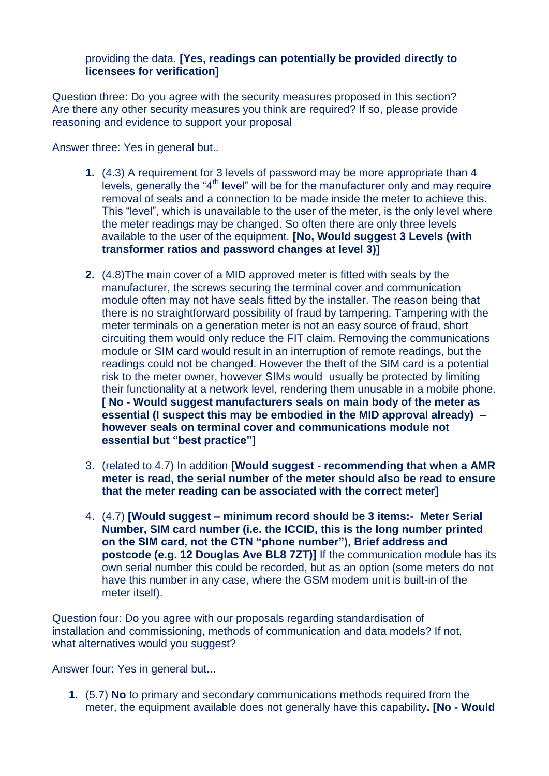## providing the data. **[Yes, readings can potentially be provided directly to licensees for verification]**

Question three: Do you agree with the security measures proposed in this section? Are there any other security measures you think are required? If so, please provide reasoning and evidence to support your proposal

Answer three: Yes in general but..

- **1.** (4.3) A requirement for 3 levels of password may be more appropriate than 4 levels, generally the " $4<sup>th</sup>$  level" will be for the manufacturer only and may require removal of seals and a connection to be made inside the meter to achieve this. This "level", which is unavailable to the user of the meter, is the only level where the meter readings may be changed. So often there are only three levels available to the user of the equipment. **[No, Would suggest 3 Levels (with transformer ratios and password changes at level 3)]**
- **2.** (4.8)The main cover of a MID approved meter is fitted with seals by the manufacturer, the screws securing the terminal cover and communication module often may not have seals fitted by the installer. The reason being that there is no straightforward possibility of fraud by tampering. Tampering with the meter terminals on a generation meter is not an easy source of fraud, short circuiting them would only reduce the FIT claim. Removing the communications module or SIM card would result in an interruption of remote readings, but the readings could not be changed. However the theft of the SIM card is a potential risk to the meter owner, however SIMs would usually be protected by limiting their functionality at a network level, rendering them unusable in a mobile phone. **[ No - Would suggest manufacturers seals on main body of the meter as essential (I suspect this may be embodied in the MID approval already) – however seals on terminal cover and communications module not essential but "best practice"]**
- 3. (related to 4.7) In addition **[Would suggest - recommending that when a AMR meter is read, the serial number of the meter should also be read to ensure that the meter reading can be associated with the correct meter]**
- 4. (4.7) **[Would suggest – minimum record should be 3 items:- Meter Serial Number, SIM card number (i.e. the ICCID, this is the long number printed on the SIM card, not the CTN "phone number"), Brief address and postcode (e.g. 12 Douglas Ave BL8 7ZT)]** If the communication module has its own serial number this could be recorded, but as an option (some meters do not have this number in any case, where the GSM modem unit is built-in of the meter itself).

Question four: Do you agree with our proposals regarding standardisation of installation and commissioning, methods of communication and data models? If not, what alternatives would you suggest?

Answer four: Yes in general but...

**1.** (5.7) **No** to primary and secondary communications methods required from the meter, the equipment available does not generally have this capability**. [No - Would**